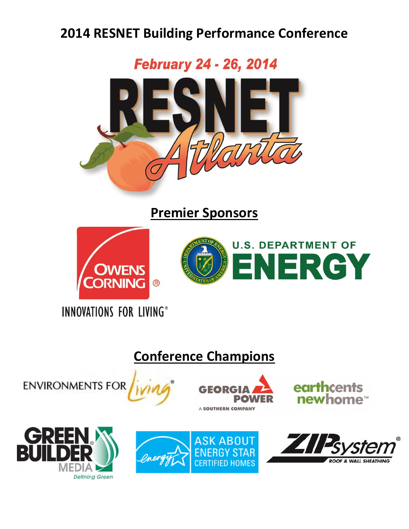# **2014 RESNET Building Performance Conference**

**February 24 - 26, 2014** 



**Premier Sponsors**





**INNOVATIONS FOR LIVING®** 

# **Conference Champions**





earthcents newhome™





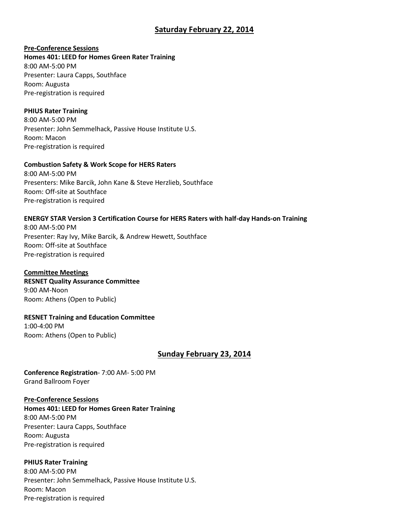## **Saturday February 22, 2014**

## **Pre-Conference Sessions**

**Homes 401: LEED for Homes Green Rater Training** 8:00 AM-5:00 PM Presenter: Laura Capps, Southface Room: Augusta Pre-registration is required

## **PHIUS Rater Training**

8:00 AM-5:00 PM Presenter: John Semmelhack, Passive House Institute U.S. Room: Macon Pre-registration is required

## **Combustion Safety & Work Scope for HERS Raters**

8:00 AM-5:00 PM Presenters: Mike Barcik, John Kane & Steve Herzlieb, Southface Room: Off-site at Southface Pre-registration is required

## **ENERGY STAR Version 3 Certification Course for HERS Raters with half-day Hands-on Training**

8:00 AM-5:00 PM Presenter: Ray Ivy, Mike Barcik, & Andrew Hewett, Southface Room: Off-site at Southface Pre-registration is required

## **Committee Meetings**

**RESNET Quality Assurance Committee** 9:00 AM-Noon Room: Athens (Open to Public)

**RESNET Training and Education Committee**  1:00-4:00 PM Room: Athens (Open to Public)

## **Sunday February 23, 2014**

**Conference Registration**- 7:00 AM- 5:00 PM Grand Ballroom Foyer

**Pre-Conference Sessions Homes 401: LEED for Homes Green Rater Training** 8:00 AM-5:00 PM Presenter: Laura Capps, Southface Room: Augusta Pre-registration is required

## **PHIUS Rater Training**

8:00 AM-5:00 PM Presenter: John Semmelhack, Passive House Institute U.S. Room: Macon Pre-registration is required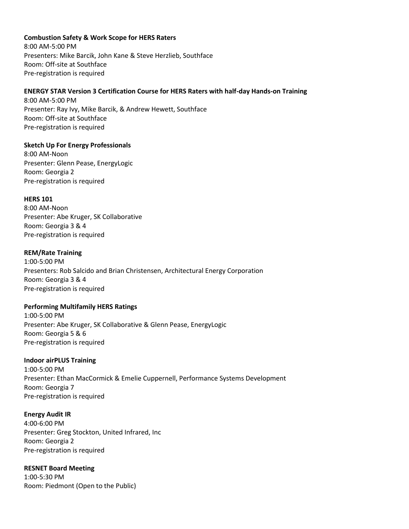## **Combustion Safety & Work Scope for HERS Raters**

8:00 AM-5:00 PM Presenters: Mike Barcik, John Kane & Steve Herzlieb, Southface Room: Off-site at Southface Pre-registration is required

## **ENERGY STAR Version 3 Certification Course for HERS Raters with half-day Hands-on Training**

8:00 AM-5:00 PM Presenter: Ray Ivy, Mike Barcik, & Andrew Hewett, Southface Room: Off-site at Southface Pre-registration is required

## **Sketch Up For Energy Professionals**

8:00 AM-Noon Presenter: Glenn Pease, EnergyLogic Room: Georgia 2 Pre-registration is required

#### **HERS 101**

8:00 AM-Noon Presenter: Abe Kruger, SK Collaborative Room: Georgia 3 & 4 Pre-registration is required

#### **REM/Rate Training**

1:00-5:00 PM Presenters: Rob Salcido and Brian Christensen, Architectural Energy Corporation Room: Georgia 3 & 4 Pre-registration is required

## **Performing Multifamily HERS Ratings**

1:00-5:00 PM Presenter: Abe Kruger, SK Collaborative & Glenn Pease, EnergyLogic Room: Georgia 5 & 6 Pre-registration is required

## **Indoor airPLUS Training**

1:00-5:00 PM Presenter: Ethan MacCormick & Emelie Cuppernell, Performance Systems Development Room: Georgia 7 Pre-registration is required

#### **Energy Audit IR**

4:00-6:00 PM Presenter: Greg Stockton, United Infrared, Inc Room: Georgia 2 Pre-registration is required

## **RESNET Board Meeting**

1:00-5:30 PM Room: Piedmont (Open to the Public)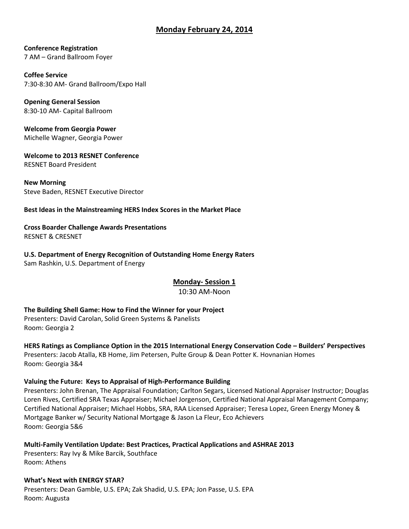## **Monday February 24, 2014**

**Conference Registration**  7 AM – Grand Ballroom Foyer

**Coffee Service** 7:30-8:30 AM- Grand Ballroom/Expo Hall

**Opening General Session** 8:30-10 AM- Capital Ballroom

**Welcome from Georgia Power** Michelle Wagner, Georgia Power

**Welcome to 2013 RESNET Conference** RESNET Board President

**New Morning** Steve Baden, RESNET Executive Director

#### **Best Ideas in the Mainstreaming HERS Index Scores in the Market Place**

**Cross Boarder Challenge Awards Presentations** RESNET & CRESNET

# **U.S. Department of Energy Recognition of Outstanding Home Energy Raters**

Sam Rashkin, U.S. Department of Energy

## **Monday- Session 1**

10:30 AM-Noon

**The Building Shell Game: How to Find the Winner for your Project**

Presenters: David Carolan, Solid Green Systems & Panelists Room: Georgia 2

**HERS Ratings as Compliance Option in the 2015 International Energy Conservation Code – Builders' Perspectives** Presenters: Jacob Atalla, KB Home, Jim Petersen, Pulte Group & Dean Potter K. Hovnanian Homes Room: Georgia 3&4

## **Valuing the Future: Keys to Appraisal of High-Performance Building**

Presenters: John Brenan, The Appraisal Foundation; Carlton Segars, Licensed National Appraiser Instructor; Douglas Loren Rives, Certified SRA Texas Appraiser; Michael Jorgenson, Certified National Appraisal Management Company; Certified National Appraiser; Michael Hobbs, SRA, RAA Licensed Appraiser; Teresa Lopez, Green Energy Money & Mortgage Banker w/ Security National Mortgage & Jason La Fleur, Eco Achievers Room: Georgia 5&6

**Multi-Family Ventilation Update: Best Practices, Practical Applications and ASHRAE 2013**

Presenters: Ray Ivy & Mike Barcik, Southface Room: Athens

**What's Next with ENERGY STAR?** 

Presenters: Dean Gamble, U.S. EPA; Zak Shadid, U.S. EPA; Jon Passe, U.S. EPA Room: Augusta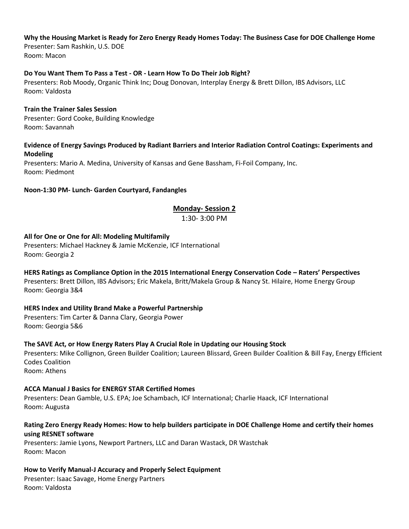## **Why the Housing Market is Ready for Zero Energy Ready Homes Today: The Business Case for DOE Challenge Home**

Presenter: Sam Rashkin, U.S. DOE Room: Macon

## **Do You Want Them To Pass a Test - OR - Learn How To Do Their Job Right?**

Presenters: Rob Moody, Organic Think Inc; Doug Donovan, Interplay Energy & Brett Dillon, IBS Advisors, LLC Room: Valdosta

## **Train the Trainer Sales Session**

Presenter: Gord Cooke, Building Knowledge Room: Savannah

## **Evidence of Energy Savings Produced by Radiant Barriers and Interior Radiation Control Coatings: Experiments and Modeling**

Presenters: Mario A. Medina, University of Kansas and Gene Bassham, Fi-Foil Company, Inc. Room: Piedmont

## **Noon-1:30 PM- Lunch- Garden Courtyard, Fandangles**

## **Monday- Session 2**

1:30- 3:00 PM

## **All for One or One for All: Modeling Multifamily**

Presenters: Michael Hackney & Jamie McKenzie, ICF International Room: Georgia 2

## **HERS Ratings as Compliance Option in the 2015 International Energy Conservation Code – Raters' Perspectives**

Presenters: Brett Dillon, IBS Advisors; Eric Makela, Britt/Makela Group & Nancy St. Hilaire, Home Energy Group Room: Georgia 3&4

## **HERS Index and Utility Brand Make a Powerful Partnership**

Presenters: Tim Carter & Danna Clary, Georgia Power Room: Georgia 5&6

## **The SAVE Act, or How Energy Raters Play A Crucial Role in Updating our Housing Stock**

Presenters: Mike Collignon, Green Builder Coalition; Laureen Blissard, Green Builder Coalition & Bill Fay, Energy Efficient Codes Coalition Room: Athens

## **ACCA Manual J Basics for ENERGY STAR Certified Homes**

Presenters: Dean Gamble, U.S. EPA; Joe Schambach, ICF International; Charlie Haack, ICF International Room: Augusta

## **Rating Zero Energy Ready Homes: How to help builders participate in DOE Challenge Home and certify their homes using RESNET software**

Presenters: Jamie Lyons, Newport Partners, LLC and Daran Wastack, DR Wastchak Room: Macon

## **How to Verify Manual-J Accuracy and Properly Select Equipment**

Presenter: Isaac Savage, Home Energy Partners Room: Valdosta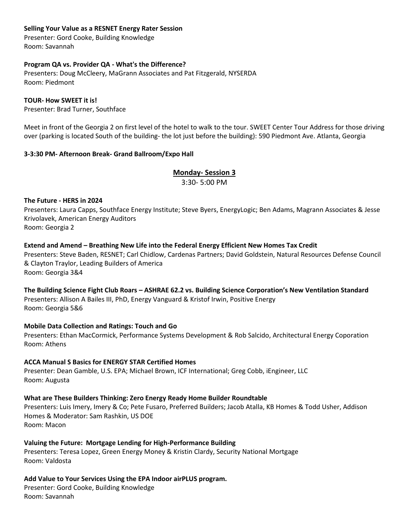## **Selling Your Value as a RESNET Energy Rater Session**

Presenter: Gord Cooke, Building Knowledge Room: Savannah

## **Program QA vs. Provider QA - What's the Difference?**

Presenters: Doug McCleery, MaGrann Associates and Pat Fitzgerald, NYSERDA Room: Piedmont

## **TOUR- How SWEET it is!**

Presenter: Brad Turner, Southface

Meet in front of the Georgia 2 on first level of the hotel to walk to the tour. SWEET Center Tour Address for those driving over (parking is located South of the building- the lot just before the building): 590 Piedmont Ave. Atlanta, Georgia

## **3-3:30 PM- Afternoon Break- Grand Ballroom/Expo Hall**

## **Monday- Session 3**

3:30- 5:00 PM

## **The Future - HERS in 2024**

Presenters: Laura Capps, Southface Energy Institute; Steve Byers, EnergyLogic; Ben Adams, Magrann Associates & Jesse Krivolavek, American Energy Auditors Room: Georgia 2

## **Extend and Amend – Breathing New Life into the Federal Energy Efficient New Homes Tax Credit**

Presenters: Steve Baden, RESNET; Carl Chidlow, Cardenas Partners; David Goldstein, Natural Resources Defense Council & Clayton Traylor, Leading Builders of America Room: Georgia 3&4

## **The Building Science Fight Club Roars – ASHRAE 62.2 vs. Building Science Corporation's New Ventilation Standard** Presenters: Allison A Bailes III, PhD, Energy Vanguard & Kristof Irwin, Positive Energy Room: Georgia 5&6

## **Mobile Data Collection and Ratings: Touch and Go**

Presenters: Ethan MacCormick, Performance Systems Development & Rob Salcido, Architectural Energy Coporation Room: Athens

## **ACCA Manual S Basics for ENERGY STAR Certified Homes**

Presenter: Dean Gamble, U.S. EPA; Michael Brown, ICF International; Greg Cobb, iEngineer, LLC Room: Augusta

## **What are These Builders Thinking: Zero Energy Ready Home Builder Roundtable**

Presenters: Luis Imery, Imery & Co; Pete Fusaro, Preferred Builders; Jacob Atalla, KB Homes & Todd Usher, Addison Homes & Moderator: Sam Rashkin, US DOE Room: Macon

## **Valuing the Future: Mortgage Lending for High-Performance Building**

Presenters: Teresa Lopez, Green Energy Money & Kristin Clardy, Security National Mortgage Room: Valdosta

## **Add Value to Your Services Using the EPA Indoor airPLUS program.**

Presenter: Gord Cooke, Building Knowledge Room: Savannah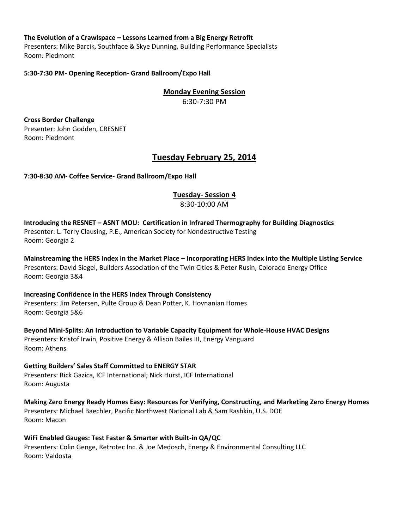## **The Evolution of a Crawlspace – Lessons Learned from a Big Energy Retrofit**

Presenters: Mike Barcik, Southface & Skye Dunning, Building Performance Specialists Room: Piedmont

## **5:30-7:30 PM- Opening Reception- Grand Ballroom/Expo Hall**

**Monday Evening Session** 6:30-7:30 PM

**Cross Border Challenge** Presenter: John Godden, CRESNET Room: Piedmont

## **Tuesday February 25, 2014**

## **7:30-8:30 AM- Coffee Service- Grand Ballroom/Expo Hall**

## **Tuesday- Session 4**

8:30-10:00 AM

## **Introducing the RESNET – ASNT MOU: Certification in Infrared Thermography for Building Diagnostics** Presenter: L. Terry Clausing, P.E., American Society for Nondestructive Testing Room: Georgia 2

**Mainstreaming the HERS Index in the Market Place – Incorporating HERS Index into the Multiple Listing Service** Presenters: David Siegel, Builders Association of the Twin Cities & Peter Rusin, Colorado Energy Office Room: Georgia 3&4

## **Increasing Confidence in the HERS Index Through Consistency** Presenters: Jim Petersen, Pulte Group & Dean Potter, K. Hovnanian Homes Room: Georgia 5&6

**Beyond Mini-Splits: An Introduction to Variable Capacity Equipment for Whole-House HVAC Designs** Presenters: Kristof Irwin, Positive Energy & Allison Bailes III, Energy Vanguard Room: Athens

**Getting Builders' Sales Staff Committed to ENERGY STAR** Presenters: Rick Gazica, ICF International; Nick Hurst, ICF International Room: Augusta

**Making Zero Energy Ready Homes Easy: Resources for Verifying, Constructing, and Marketing Zero Energy Homes**  Presenters: Michael Baechler, Pacific Northwest National Lab & Sam Rashkin, U.S. DOE Room: Macon

#### **WiFi Enabled Gauges: Test Faster & Smarter with Built-in QA/QC** Presenters: Colin Genge, Retrotec Inc. & Joe Medosch, Energy & Environmental Consulting LLC Room: Valdosta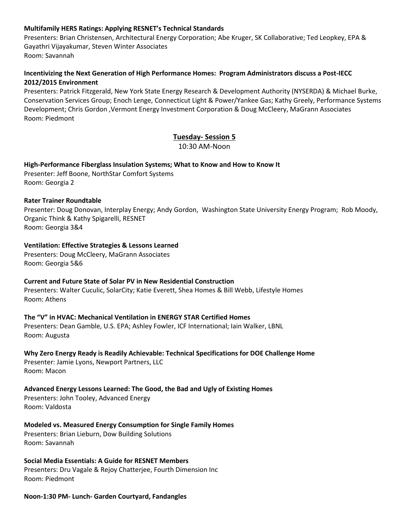## **Multifamily HERS Ratings: Applying RESNET's Technical Standards**

Presenters: Brian Christensen, Architectural Energy Corporation; Abe Kruger, SK Collaborative; Ted Leopkey, EPA & Gayathri Vijayakumar, Steven Winter Associates Room: Savannah

## **Incentivizing the Next Generation of High Performance Homes: Program Administrators discuss a Post-IECC 2012/2015 Environment**

Presenters: Patrick Fitzgerald, New York State Energy Research & Development Authority (NYSERDA) & Michael Burke, Conservation Services Group; Enoch Lenge, Connecticut Light & Power/Yankee Gas; Kathy Greely, Performance Systems Development; Chris Gordon ,Vermont Energy Investment Corporation & Doug McCleery, MaGrann Associates Room: Piedmont

## **Tuesday- Session 5**

10:30 AM-Noon

## **High-Performance Fiberglass Insulation Systems; What to Know and How to Know It**

Presenter: Jeff Boone, NorthStar Comfort Systems Room: Georgia 2

## **Rater Trainer Roundtable**

Presenter: Doug Donovan, Interplay Energy; Andy Gordon, Washington State University Energy Program; Rob Moody, Organic Think & Kathy Spigarelli, RESNET Room: Georgia 3&4

## **Ventilation: Effective Strategies & Lessons Learned**

Presenters: Doug McCleery, MaGrann Associates Room: Georgia 5&6

## **Current and Future State of Solar PV in New Residential Construction**

Presenters: Walter Cuculic, SolarCity; Katie Everett, Shea Homes & Bill Webb, Lifestyle Homes Room: Athens

## **The "V" in HVAC: Mechanical Ventilation in ENERGY STAR Certified Homes**

Presenters: Dean Gamble, U.S. EPA; Ashley Fowler, ICF International; Iain Walker, LBNL Room: Augusta

## **Why Zero Energy Ready is Readily Achievable: Technical Specifications for DOE Challenge Home**

Presenter: Jamie Lyons, Newport Partners, LLC Room: Macon

## **Advanced Energy Lessons Learned: The Good, the Bad and Ugly of Existing Homes**

Presenters: John Tooley, Advanced Energy Room: Valdosta

## **Modeled vs. Measured Energy Consumption for Single Family Homes** Presenters: Brian Lieburn, Dow Building Solutions Room: Savannah

**Social Media Essentials: A Guide for RESNET Members** Presenters: Dru Vagale & Rejoy Chatterjee, Fourth Dimension Inc Room: Piedmont

## **Noon-1:30 PM- Lunch- Garden Courtyard, Fandangles**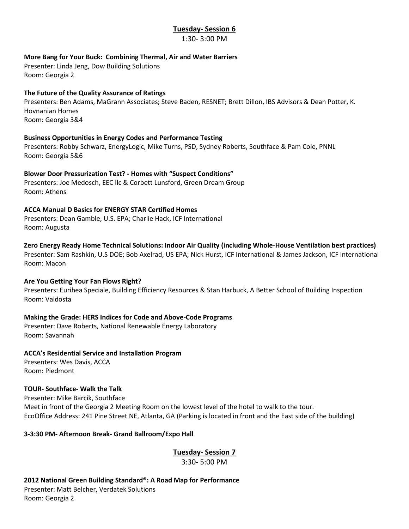## **Tuesday- Session 6**

1:30- 3:00 PM

## **More Bang for Your Buck: Combining Thermal, Air and Water Barriers**

Presenter: Linda Jeng, Dow Building Solutions Room: Georgia 2

## **The Future of the Quality Assurance of Ratings**

Presenters: Ben Adams, MaGrann Associates; Steve Baden, RESNET; Brett Dillon, IBS Advisors & Dean Potter, K. Hovnanian Homes Room: Georgia 3&4

## **Business Opportunities in Energy Codes and Performance Testing**

Presenters: Robby Schwarz, EnergyLogic, Mike Turns, PSD, Sydney Roberts, Southface & Pam Cole, PNNL Room: Georgia 5&6

## **Blower Door Pressurization Test? - Homes with "Suspect Conditions"**

Presenters: Joe Medosch, EEC llc & Corbett Lunsford, Green Dream Group Room: Athens

## **ACCA Manual D Basics for ENERGY STAR Certified Homes**

Presenters: Dean Gamble, U.S. EPA; Charlie Hack, ICF International Room: Augusta

## **Zero Energy Ready Home Technical Solutions: Indoor Air Quality (including Whole-House Ventilation best practices)**

Presenter: Sam Rashkin, U.S DOE; Bob Axelrad, US EPA; Nick Hurst, ICF International & James Jackson, ICF International Room: Macon

## **Are You Getting Your Fan Flows Right?**

Presenters: Eurihea Speciale, Building Efficiency Resources & Stan Harbuck, A Better School of Building Inspection Room: Valdosta

## **Making the Grade: HERS Indices for Code and Above-Code Programs**

Presenter: Dave Roberts, National Renewable Energy Laboratory Room: Savannah

## **ACCA's Residential Service and Installation Program**

Presenters: Wes Davis, ACCA Room: Piedmont

## **TOUR- Southface- Walk the Talk**

Presenter: Mike Barcik, Southface Meet in front of the Georgia 2 Meeting Room on the lowest level of the hotel to walk to the tour. EcoOffice Address: 241 Pine Street NE, Atlanta, GA (Parking is located in front and the East side of the building)

**3-3:30 PM- Afternoon Break- Grand Ballroom/Expo Hall**

**Tuesday- Session 7**

3:30- 5:00 PM

**2012 National Green Building Standard®: A Road Map for Performance** Presenter: Matt Belcher, Verdatek Solutions Room: Georgia 2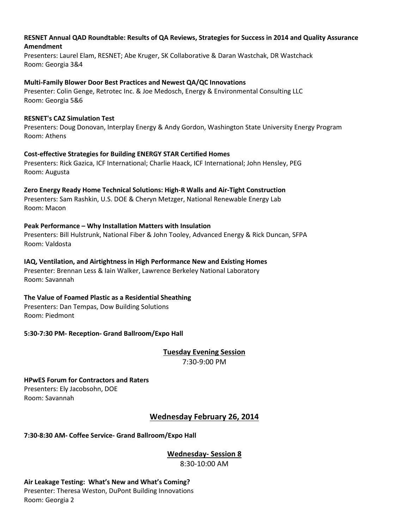## **RESNET Annual QAD Roundtable: Results of QA Reviews, Strategies for Success in 2014 and Quality Assurance Amendment**

Presenters: Laurel Elam, RESNET; Abe Kruger, SK Collaborative & Daran Wastchak, DR Wastchack Room: Georgia 3&4

## **Multi-Family Blower Door Best Practices and Newest QA/QC Innovations**

Presenter: Colin Genge, Retrotec Inc. & Joe Medosch, Energy & Environmental Consulting LLC Room: Georgia 5&6

## **RESNET's CAZ Simulation Test**

Presenters: Doug Donovan, Interplay Energy & Andy Gordon, Washington State University Energy Program Room: Athens

## **Cost-effective Strategies for Building ENERGY STAR Certified Homes**

Presenters: Rick Gazica, ICF International; Charlie Haack, ICF International; John Hensley, PEG Room: Augusta

## **Zero Energy Ready Home Technical Solutions: High-R Walls and Air-Tight Construction**

Presenters: Sam Rashkin, U.S. DOE & Cheryn Metzger, National Renewable Energy Lab Room: Macon

## **Peak Performance – Why Installation Matters with Insulation**

Presenters: Bill Hulstrunk, National Fiber & John Tooley, Advanced Energy & Rick Duncan, SFPA Room: Valdosta

## **IAQ, Ventilation, and Airtightness in High Performance New and Existing Homes**

Presenter: Brennan Less & Iain Walker, Lawrence Berkeley National Laboratory Room: Savannah

## **The Value of Foamed Plastic as a Residential Sheathing**

Presenters: Dan Tempas, Dow Building Solutions Room: Piedmont

**5:30-7:30 PM- Reception- Grand Ballroom/Expo Hall**

**Tuesday Evening Session** 7:30-9:00 PM

**HPwES Forum for Contractors and Raters**  Presenters: Ely Jacobsohn, DOE Room: Savannah

## **Wednesday February 26, 2014**

## **7:30-8:30 AM- Coffee Service- Grand Ballroom/Expo Hall**

**Wednesday- Session 8**

8:30-10:00 AM

**Air Leakage Testing: What's New and What's Coming?** Presenter: Theresa Weston, DuPont Building Innovations Room: Georgia 2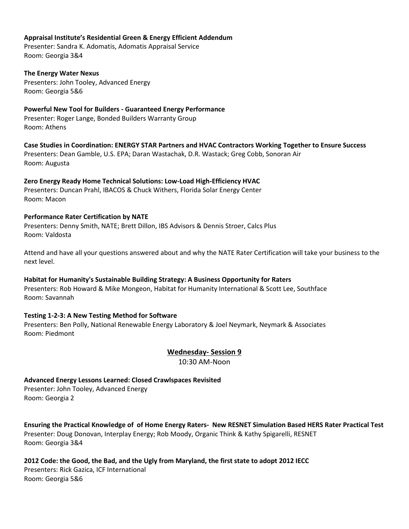## **Appraisal Institute's Residential Green & Energy Efficient Addendum**

Presenter: Sandra K. Adomatis, Adomatis Appraisal Service Room: Georgia 3&4

## **The Energy Water Nexus**

Presenters: John Tooley, Advanced Energy Room: Georgia 5&6

## **Powerful New Tool for Builders - Guaranteed Energy Performance**

Presenter: Roger Lange, Bonded Builders Warranty Group Room: Athens

## **Case Studies in Coordination: ENERGY STAR Partners and HVAC Contractors Working Together to Ensure Success**

Presenters: Dean Gamble, U.S. EPA; Daran Wastachak, D.R. Wastack; Greg Cobb, Sonoran Air Room: Augusta

## **Zero Energy Ready Home Technical Solutions: Low-Load High-Efficiency HVAC**

Presenters: Duncan Prahl, IBACOS & Chuck Withers, Florida Solar Energy Center Room: Macon

## **Performance Rater Certification by NATE**

Presenters: Denny Smith, NATE; Brett Dillon, IBS Advisors & Dennis Stroer, Calcs Plus Room: Valdosta

Attend and have all your questions answered about and why the NATE Rater Certification will take your business to the next level.

## **Habitat for Humanity's Sustainable Building Strategy: A Business Opportunity for Raters**

Presenters: Rob Howard & Mike Mongeon, Habitat for Humanity International & Scott Lee, Southface Room: Savannah

## **Testing 1-2-3: A New Testing Method for Software**

Presenters: Ben Polly, National Renewable Energy Laboratory & Joel Neymark, Neymark & Associates Room: Piedmont

## **Wednesday- Session 9**

10:30 AM-Noon

## **Advanced Energy Lessons Learned: Closed Crawlspaces Revisited**

Presenter: John Tooley, Advanced Energy Room: Georgia 2

**Ensuring the Practical Knowledge of of Home Energy Raters- New RESNET Simulation Based HERS Rater Practical Test** Presenter: Doug Donovan, Interplay Energy; Rob Moody, Organic Think & Kathy Spigarelli, RESNET Room: Georgia 3&4

**2012 Code: the Good, the Bad, and the Ugly from Maryland, the first state to adopt 2012 IECC** Presenters: Rick Gazica, ICF International Room: Georgia 5&6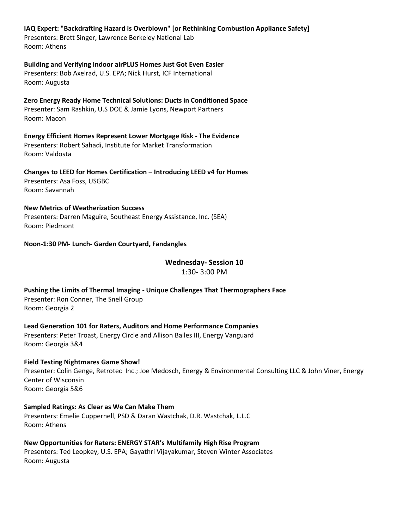## **IAQ Expert: "Backdrafting Hazard is Overblown" [or Rethinking Combustion Appliance Safety]**

Presenters: Brett Singer, Lawrence Berkeley National Lab Room: Athens

## **Building and Verifying Indoor airPLUS Homes Just Got Even Easier**

Presenters: Bob Axelrad, U.S. EPA; Nick Hurst, ICF International Room: Augusta

**Zero Energy Ready Home Technical Solutions: Ducts in Conditioned Space** Presenter: Sam Rashkin, U.S DOE & Jamie Lyons, Newport Partners Room: Macon

**Energy Efficient Homes Represent Lower Mortgage Risk - The Evidence** Presenters: Robert Sahadi, Institute for Market Transformation Room: Valdosta

**Changes to LEED for Homes Certification – Introducing LEED v4 for Homes** Presenters: Asa Foss, USGBC Room: Savannah

## **New Metrics of Weatherization Success**

Presenters: Darren Maguire, Southeast Energy Assistance, Inc. (SEA) Room: Piedmont

## **Noon-1:30 PM- Lunch- Garden Courtyard, Fandangles**

**Wednesday- Session 10**

1:30- 3:00 PM

**Pushing the Limits of Thermal Imaging - Unique Challenges That Thermographers Face** Presenter: Ron Conner, The Snell Group Room: Georgia 2

**Lead Generation 101 for Raters, Auditors and Home Performance Companies**

Presenters: Peter Troast, Energy Circle and Allison Bailes III, Energy Vanguard Room: Georgia 3&4

## **Field Testing Nightmares Game Show!**

Presenter: Colin Genge, Retrotec Inc.; Joe Medosch, Energy & Environmental Consulting LLC & John Viner, Energy Center of Wisconsin Room: Georgia 5&6

## **Sampled Ratings: As Clear as We Can Make Them**

Presenters: Emelie Cuppernell, PSD & Daran Wastchak, D.R. Wastchak, L.L.C Room: Athens

**New Opportunities for Raters: ENERGY STAR's Multifamily High Rise Program**  Presenters: Ted Leopkey, U.S. EPA; Gayathri Vijayakumar, Steven Winter Associates Room: Augusta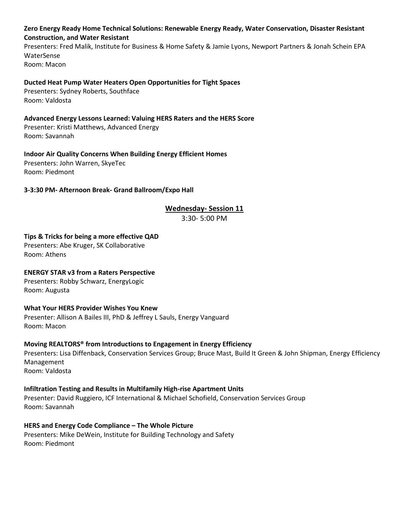## **Zero Energy Ready Home Technical Solutions: Renewable Energy Ready, Water Conservation, Disaster Resistant Construction, and Water Resistant**

Presenters: Fred Malik, Institute for Business & Home Safety & Jamie Lyons, Newport Partners & Jonah Schein EPA WaterSense Room: Macon

## **Ducted Heat Pump Water Heaters Open Opportunities for Tight Spaces**

Presenters: Sydney Roberts, Southface Room: Valdosta

## **Advanced Energy Lessons Learned: Valuing HERS Raters and the HERS Score**

Presenter: Kristi Matthews, Advanced Energy Room: Savannah

## **Indoor Air Quality Concerns When Building Energy Efficient Homes**

Presenters: John Warren, SkyeTec Room: Piedmont

## **3-3:30 PM- Afternoon Break- Grand Ballroom/Expo Hall**

## **Wednesday- Session 11**

3:30- 5:00 PM

## **Tips & Tricks for being a more effective QAD**

Presenters: Abe Kruger, SK Collaborative Room: Athens

## **ENERGY STAR v3 from a Raters Perspective**

Presenters: Robby Schwarz, EnergyLogic Room: Augusta

## **What Your HERS Provider Wishes You Knew**

Presenter: Allison A Bailes III, PhD & Jeffrey L Sauls, Energy Vanguard Room: Macon

## **Moving REALTORS® from Introductions to Engagement in Energy Efficiency**

Presenters: Lisa Diffenback, Conservation Services Group; Bruce Mast, Build It Green & John Shipman, Energy Efficiency Management Room: Valdosta

## **Infiltration Testing and Results in Multifamily High-rise Apartment Units**

Presenter: David Ruggiero, ICF International & Michael Schofield, Conservation Services Group Room: Savannah

## **HERS and Energy Code Compliance – The Whole Picture**

Presenters: Mike DeWein, Institute for Building Technology and Safety Room: Piedmont